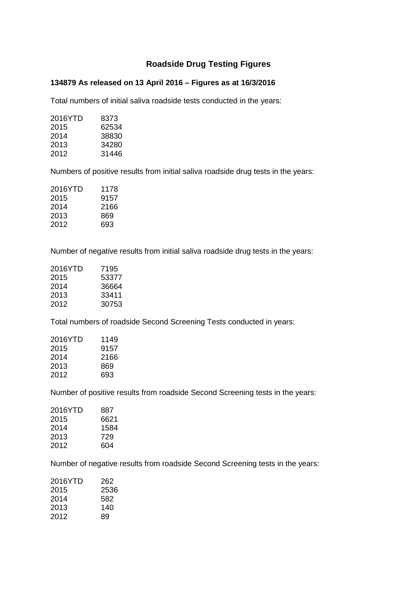## **Roadside Drug Testing Figures**

## **134879 As released on 13 April 2016 – Figures as at 16/3/2016**

Total numbers of initial saliva roadside tests conducted in the years:

| 8373  |
|-------|
| 62534 |
| 38830 |
| 34280 |
| 31446 |
|       |

Numbers of positive results from initial saliva roadside drug tests in the years:

| 2016YTD | 1178 |
|---------|------|
| 2015    | 9157 |
| 2014    | 2166 |
| 2013    | 869  |
| 2012    | 693  |
|         |      |

Number of negative results from initial saliva roadside drug tests in the years:

| 7195  |
|-------|
| 53377 |
| 36664 |
| 33411 |
| 30753 |
|       |

Total numbers of roadside Second Screening Tests conducted in years:

| 2016YTD | 1149 |
|---------|------|
| 2015    | 9157 |
| 2014    | 2166 |
| 2013    | 869  |
| 2012    | 693  |
|         |      |

Number of positive results from roadside Second Screening tests in the years:

| 2016YTD | 887  |
|---------|------|
| 2015    | 6621 |
| 2014    | 1584 |
| 2013    | 729  |
| 2012    | 604  |
|         |      |

Number of negative results from roadside Second Screening tests in the years:

| 2016YTD | 262  |
|---------|------|
| 2015    | 2536 |
| 2014    | 582  |
| 2013    | 140  |
| 2012    | 89   |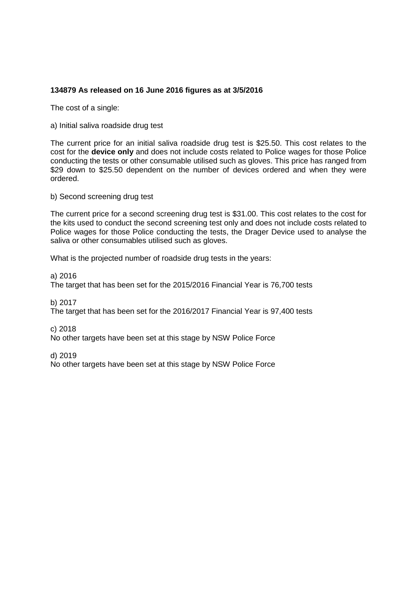## **134879 As released on 16 June 2016 figures as at 3/5/2016**

The cost of a single:

a) Initial saliva roadside drug test

The current price for an initial saliva roadside drug test is \$25.50. This cost relates to the cost for the **device only** and does not include costs related to Police wages for those Police conducting the tests or other consumable utilised such as gloves. This price has ranged from \$29 down to \$25.50 dependent on the number of devices ordered and when they were ordered.

b) Second screening drug test

The current price for a second screening drug test is \$31.00. This cost relates to the cost for the kits used to conduct the second screening test only and does not include costs related to Police wages for those Police conducting the tests, the Drager Device used to analyse the saliva or other consumables utilised such as gloves.

What is the projected number of roadside drug tests in the years:

a) 2016

The target that has been set for the 2015/2016 Financial Year is 76,700 tests

b) 2017

The target that has been set for the 2016/2017 Financial Year is 97,400 tests

c) 2018

No other targets have been set at this stage by NSW Police Force

d) 2019

No other targets have been set at this stage by NSW Police Force